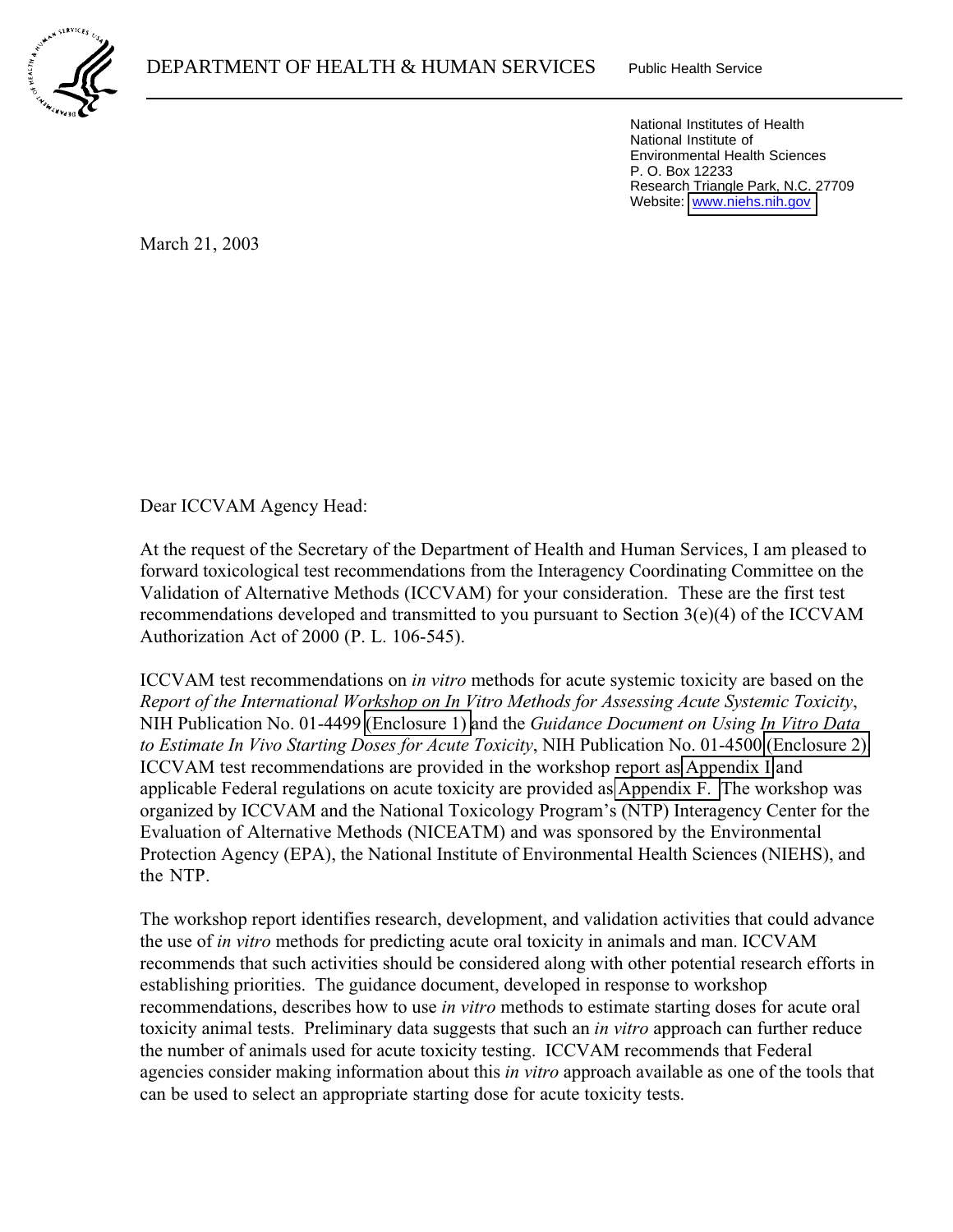Website: www.niehs.nih.gov National Institutes of Health National Institute of Environmental Health Sciences P. O. Box 12233 Research Triangle Park, N.C. 27709

March 21, 2003

 $\overline{a}$ 

Dear ICCVAM Agency Head:

At the request of the Secretary of the Department of Health and Human Services, I am pleased to forward toxicological test recommendations from the Interagency Coordinating Committee on the Validation of Alternative Methods (ICCVAM) for your consideration. These are the first test recommendations developed and transmitted to you pursuant to Section 3(e)(4) of the ICCVAM Authorization Act of 2000 (P. L. 106-545).

ICCVAM test recommendations on *in vitro* methods for acute systemic toxicity are based on the *Report of the International Workshop on In Vitro Methods for Assessing Acute Systemic Toxicity*, NIH Publication No. 01-4499 [\(Enclosure 1\)](http://iccvam.niehs.nih.gov/docs/acutetox_docs/finalrpt/finalall0801.pdf) and the *Guidance Document on Using In Vitro Data to Estimate In Vivo Starting Doses for Acute Toxicity*, NIH Publication No. 01-4500 [\(Enclosure 2\).](http://iccvam.niehs.nih.gov/docs/acutetox_docs/guidance0801/iv_guide.pdf) ICCVAM test recommendations are provided in the workshop report as [Appendix I](http://iccvam.niehs.nih.gov/docs/acutetox_docs/finalrpt/finappi2.pdf) and applicable Federal regulations on acute toxicity are provided as [Appendix F.](http://iccvam.niehs.nih.gov/docs/acutetox_docs/finalrpt/finappf.pdf) The workshop was organized by ICCVAM and the National Toxicology Program's (NTP) Interagency Center for the Evaluation of Alternative Methods (NICEATM) and was sponsored by the Environmental Protection Agency (EPA), the National Institute of Environmental Health Sciences (NIEHS), and the NTP.

The workshop report identifies research, development, and validation activities that could advance the use of *in vitro* methods for predicting acute oral toxicity in animals and man. ICCVAM recommends that such activities should be considered along with other potential research efforts in establishing priorities. The guidance document, developed in response to workshop recommendations, describes how to use *in vitro* methods to estimate starting doses for acute oral toxicity animal tests. Preliminary data suggests that such an *in vitro* approach can further reduce the number of animals used for acute toxicity testing. ICCVAM recommends that Federal agencies consider making information about this *in vitro* approach available as one of the tools that can be used to select an appropriate starting dose for acute toxicity tests.